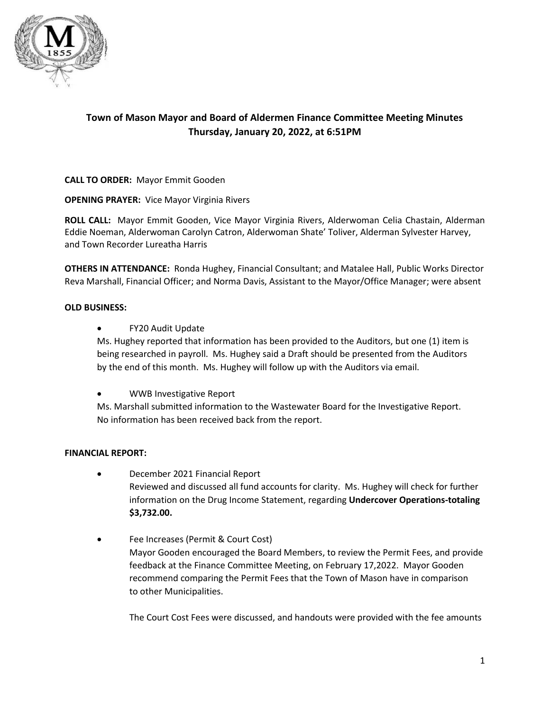

# **Town of Mason Mayor and Board of Aldermen Finance Committee Meeting Minutes Thursday, January 20, 2022, at 6:51PM**

**CALL TO ORDER:** Mayor Emmit Gooden

**OPENING PRAYER:** Vice Mayor Virginia Rivers

**ROLL CALL:** Mayor Emmit Gooden, Vice Mayor Virginia Rivers, Alderwoman Celia Chastain, Alderman Eddie Noeman, Alderwoman Carolyn Catron, Alderwoman Shate' Toliver, Alderman Sylvester Harvey, and Town Recorder Lureatha Harris

**OTHERS IN ATTENDANCE:** Ronda Hughey, Financial Consultant; and Matalee Hall, Public Works Director Reva Marshall, Financial Officer; and Norma Davis, Assistant to the Mayor/Office Manager; were absent

## **OLD BUSINESS:**

• FY20 Audit Update

Ms. Hughey reported that information has been provided to the Auditors, but one (1) item is being researched in payroll. Ms. Hughey said a Draft should be presented from the Auditors by the end of this month. Ms. Hughey will follow up with the Auditors via email.

• WWB Investigative Report

Ms. Marshall submitted information to the Wastewater Board for the Investigative Report. No information has been received back from the report.

## **FINANCIAL REPORT:**

- December 2021 Financial Report Reviewed and discussed all fund accounts for clarity. Ms. Hughey will check for further information on the Drug Income Statement, regarding **Undercover Operations-totaling \$3,732.00.**
- Fee Increases (Permit & Court Cost) Mayor Gooden encouraged the Board Members, to review the Permit Fees, and provide feedback at the Finance Committee Meeting, on February 17,2022. Mayor Gooden recommend comparing the Permit Fees that the Town of Mason have in comparison to other Municipalities.

The Court Cost Fees were discussed, and handouts were provided with the fee amounts